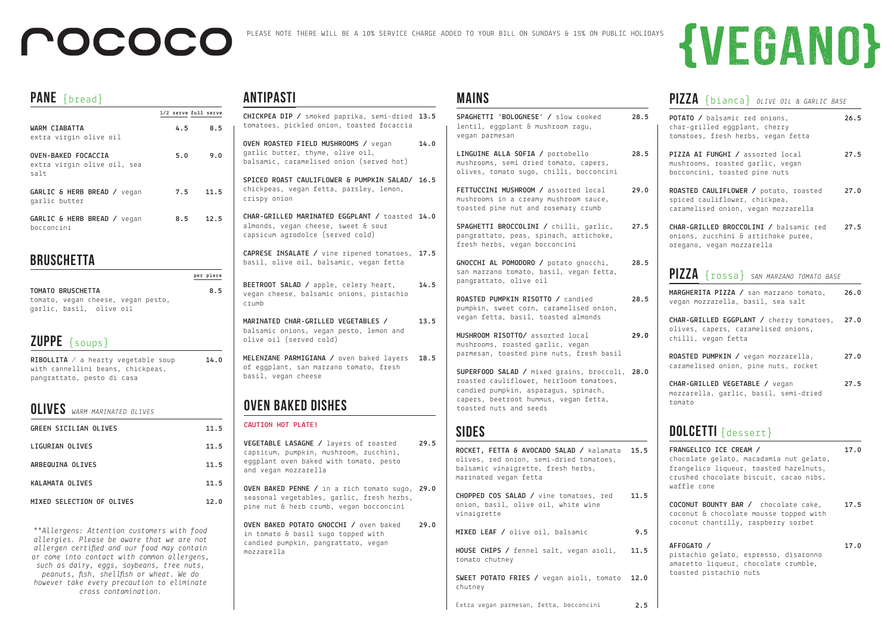| <b>OLIVES</b> WARM MARINATED OLIVES |      |
|-------------------------------------|------|
| <b>GREEN SICILIAN OLIVES</b>        | 11.5 |
| LIGURIAN OLIVES                     | 11.5 |
| ARBEQUINA OLIVES                    | 11.5 |
| <b>KALAMATA OLIVES</b>              | 11.5 |
| MIXED SELECTION OF OLIVES           | 12.0 |

## **ZUPPE** {soups}

**RIBOLLITA** / a hearty vegetable soup with cannellini beans, chickpeas, pangrattato, pesto di casa  **14.0**

#### **PANE** {bread}

|                                                            |     | 1/2 serve full serve |
|------------------------------------------------------------|-----|----------------------|
| WARM CIABATTA<br>extra virgin olive oil                    | 4.5 | 8.5                  |
| OVEN-BAKED FOCACCIA<br>extra virgin olive oil, sea<br>salt | 5.0 | 9.0                  |
| GARLIC & HERB BREAD / vegan<br>garlic butter               | 7.5 | 11.5                 |
| GARLIC & HERB BREAD / vegan<br>hocconcini                  | 8.5 | 12.5                 |

#### **bruschetta**

|                   |                                    |  | per piece |
|-------------------|------------------------------------|--|-----------|
| TOMATO BRUSCHETTA |                                    |  | 8.5       |
|                   | tomato, vegan cheese, vegan pesto, |  |           |
|                   | garlic, basil, olive oil           |  |           |

### **ANTIPASTI**

## **pizza** {rossa} *SAN MARZANO TOMATO BASE*

**MARGHERITA PIZZA /** san marzano tomato, vegan mozzarella, basil, sea salt **26.0**

- **CHAR-GRILLED EGGPLANT /** cherry tomatoes, olives, capers, caramelised onions, chilli, vegan fetta **27.0**
- **ROASTED PUMPKIN /** vegan mozzarella, caramelised onion, pine nuts, rocket **27.0**
- **CHAR-GRILLED VEGETABLE /** vegan mozzarella, garlic, basil, semi-dried tomato **27.5**

## **DOLCETTI** {dessert}

#### **mains**

| CHICKPEA DIP / smoked paprika, semi-dried 13.5<br>tomatoes, pickled onion, toasted focaccia                                                       |      |
|---------------------------------------------------------------------------------------------------------------------------------------------------|------|
| OVEN ROASTED FIELD MUSHROOMS / vegan<br>garlic butter, thyme, olive oil,<br>balsamic, caramelised onion (served hot)                              | 14.0 |
| SPICED ROAST CAULIFLOWER & PUMPKIN SALAD/ 16.5<br>chickpeas, vegan fetta, parsley, lemon,<br>crispy onion                                         |      |
| CHAR-GRILLED MARINATED EGGPLANT / toasted 14.0<br>almonds, vegan cheese, sweet & sour<br>capsicum agrodolce (served cold)                         |      |
| CAPRESE INSALATE / vine ripened tomatoes,<br>basil, olive oil, balsamic, vegan fetta                                                              | 17.5 |
| BEETROOT SALAD / apple, celery heart,<br>vegan cheese, balsamic onions, pistachio<br>crumb                                                        | 14.5 |
| MARINATED CHAR-GRILLED VEGETABLES /<br>balsamic onions, vegan pesto, lemon and<br>olive oil (served cold)                                         | 13.5 |
| MELENZANE PARMIGIANA / oven baked layers<br>of eggplant, san marzano tomato, fresh<br>basil, vegan cheese                                         | 18.5 |
| <b>OVEN BAKED DISHES</b>                                                                                                                          |      |
| <b>CAUTION HOT PLATE!</b>                                                                                                                         |      |
| VEGETABLE LASAGNE / layers of roasted<br>capsicum, pumpkin, mushroom, zucchini,<br>eggplant oven baked with tomato, pesto<br>and vegan mozzarella | 29.5 |
| OVEN BAKED PENNE / in a rich tomato sugo, 29.0<br>seasonal vegetables, garlic, fresh herbs,<br>pine nut & herb crumb, vegan bocconcini            |      |
| OVEN BAKED POTATO GNOCCHI / oven baked<br>in tomato & basil sugo topped with<br>candied pumpkin, pangrattato, vegan<br>mozzarella                 | 29.0 |

| SPAGHETTI 'BOLOGNESE' / slow cooked<br>lentil, eggplant & mushroom ragu,<br>vegan parmesan                                                                                                           | 28.5 |
|------------------------------------------------------------------------------------------------------------------------------------------------------------------------------------------------------|------|
| LINGUINE ALLA SOFIA / portobello<br>mushrooms, semi dried tomato, capers,<br>olives, tomato sugo, chilli, bocconcini                                                                                 | 28.5 |
| FETTUCCINI MUSHROOM / assorted local<br>mushrooms in a creamy mushroom sauce,<br>toasted pine nut and rosemary crumb                                                                                 | 29.0 |
| SPAGHETTI BROCCOLINI / chilli, garlic,<br>pangrattato, peas, spinach, artichoke,<br>fresh herbs, vegan bocconcini                                                                                    | 27.5 |
| GNOCCHI AL POMODORO / potato gnocchi,<br>san marzano tomato, basil, vegan fetta,<br>pangrattato, olive oil                                                                                           | 28.5 |
| ROASTED PUMPKIN RISOTTO / candied<br>pumpkin, sweet corn, caramelised onion,<br>vegan fetta, basil, toasted almonds                                                                                  | 28.5 |
| MUSHROOM RISOTTO/ assorted local<br>mushrooms, roasted garlic, vegan<br>parmesan, toasted pine nuts, fresh basil                                                                                     | 29.0 |
| SUPERFOOD SALAD / mixed grains, broccoli, 28.0<br>roasted cauliflower, heirloom tomatoes,<br>candied pumpkin, asparagus, spinach,<br>capers, beetroot hummus, vegan fetta,<br>toasted nuts and seeds |      |
| <b>SIDES</b>                                                                                                                                                                                         |      |
| ROCKET, FETTA & AVOCADO SALAD / kalamata 15.5<br>olives, red onion, semi-dried tomatoes,<br>balsamic vinaigrette, fresh herbs,<br>marinated vegan fetta                                              |      |
| CHOPPED COS SALAD / vine tomatoes, red<br>onion, basil, olive oil, white wine<br>vinaigrette                                                                                                         | 11.5 |
| MIXED LEAF / olive oil, balsamic                                                                                                                                                                     | 9.5  |
| HOUSE CHIPS / fennel salt, vegan aioli,<br>tomato chutney                                                                                                                                            | 11.5 |
| SWEET POTATO FRIES / vegan aioli, tomato<br>chutney                                                                                                                                                  | 12.0 |

# **{VEGANO}**

## **pizza** {bianca} *OLIVE OIL & GARLIC BASE*

**POTATO /** balsamic red onions, char-grilled eggplant, cherry tomatoes, fresh herbs, vegan fetta **26.5**

- **PIZZA AI FUNGHI /** assorted local mushrooms, roasted garlic, vegan bocconcini, toasted pine nuts **27.5**
- **ROASTED CAULIFLOWER /** potato, roasted spiced cauliflower, chickpea, caramelised onion, vegan mozzarella **27.0**
- **CHAR-GRILLED BROCCOLINI /** balsamic red onions, zucchini & artichoke puree, oregano, vegan mozzarella **27.5**

*\*\*Allergens: Attention customers with food allergies. Please be aware that we are not allergen certified and our food may contain or come into contact with common allergens, such as dairy, eggs, soybeans, tree nuts, peanuts, fish, shellfish or wheat. We do however take every precaution to eliminate cross contamination.* 

## POCOCO

| FRANGELICO ICE CREAM /<br>chocolate gelato, macadamia nut gelato,<br>frangelico liqueur, toasted hazelnuts,<br>crushed chocolate biscuit, cacao nibs,<br>waffle cone | 17.0 |
|----------------------------------------------------------------------------------------------------------------------------------------------------------------------|------|
| <b>COCONUT BOUNTY BAR /</b> chocolate cake,<br>coconut & chocolate mousse topped with                                                                                | 17.5 |

coconut chantilly, raspberry sorbet

| AFFOGATO /                            |  | 17.0 |
|---------------------------------------|--|------|
| pistachio gelato, espresso, disaronno |  |      |
| amaretto liqueur, chocolate crumble,  |  |      |
| toasted pistachio nuts                |  |      |
|                                       |  |      |